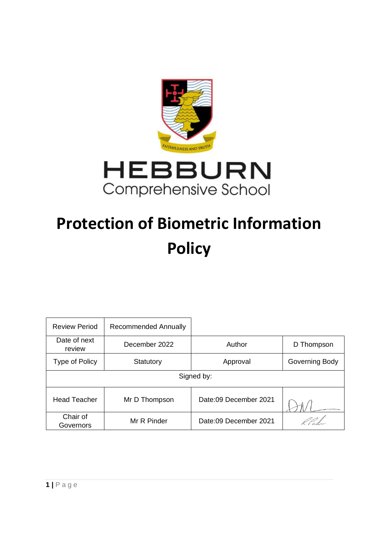

# **Protection of Biometric Information Policy**

| Review Period          | Recommended Annually |                       |                |
|------------------------|----------------------|-----------------------|----------------|
| Date of next<br>review | December 2022        | Author                | D Thompson     |
| Type of Policy         | Statutory            | Approval              | Governing Body |
| Signed by:             |                      |                       |                |
| <b>Head Teacher</b>    | Mr D Thompson        | Date:09 December 2021 |                |
| Chair of<br>Governors  | Mr R Pinder          | Date:09 December 2021 |                |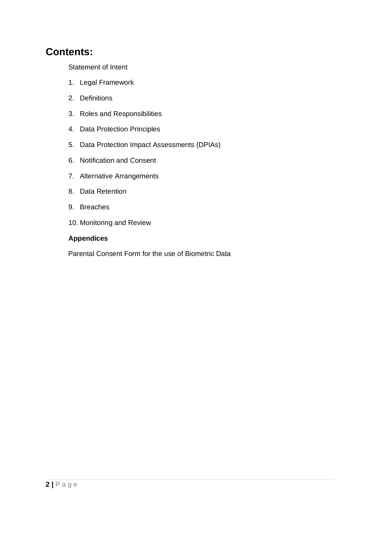# **Contents:**

Statement of Intent

- 1. Legal Framework
- 2. Definitions
- 3. Roles and Responsibilities
- 4. Data Protection Principles
- 5. Data Protection Impact Assessments (DPIAs)
- 6. Notification and Consent
- 7. Alternative Arrangements
- 8. Data Retention
- 9. Breaches
- 10. Monitoring and Review

#### **Appendices**

Parental Consent Form for the use of Biometric Data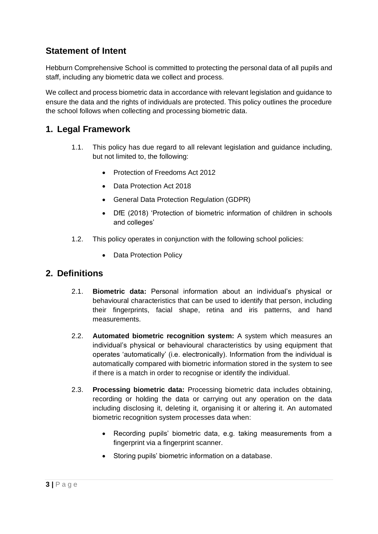# **Statement of Intent**

Hebburn Comprehensive School is committed to protecting the personal data of all pupils and staff, including any biometric data we collect and process.

We collect and process biometric data in accordance with relevant legislation and guidance to ensure the data and the rights of individuals are protected. This policy outlines the procedure the school follows when collecting and processing biometric data.

#### **1. Legal Framework**

- 1.1. This policy has due regard to all relevant legislation and guidance including, but not limited to, the following:
	- Protection of Freedoms Act 2012
	- Data Protection Act 2018
	- General Data Protection Regulation (GDPR)
	- DfE (2018) 'Protection of biometric information of children in schools and colleges'
- 1.2. This policy operates in conjunction with the following school policies:
	- Data Protection Policy

#### **2. Definitions**

- 2.1. **Biometric data:** Personal information about an individual's physical or behavioural characteristics that can be used to identify that person, including their fingerprints, facial shape, retina and iris patterns, and hand measurements.
- 2.2. **Automated biometric recognition system:** A system which measures an individual's physical or behavioural characteristics by using equipment that operates 'automatically' (i.e. electronically). Information from the individual is automatically compared with biometric information stored in the system to see if there is a match in order to recognise or identify the individual.
- 2.3. **Processing biometric data:** Processing biometric data includes obtaining, recording or holding the data or carrying out any operation on the data including disclosing it, deleting it, organising it or altering it. An automated biometric recognition system processes data when:
	- Recording pupils' biometric data, e.g. taking measurements from a fingerprint via a fingerprint scanner.
	- Storing pupils' biometric information on a database.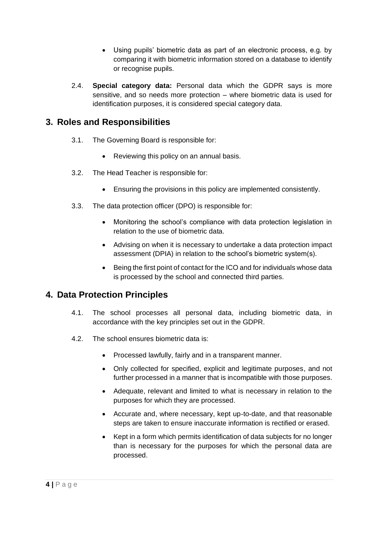- Using pupils' biometric data as part of an electronic process, e.g. by comparing it with biometric information stored on a database to identify or recognise pupils.
- 2.4. **Special category data:** Personal data which the GDPR says is more sensitive, and so needs more protection – where biometric data is used for identification purposes, it is considered special category data.

## **3. Roles and Responsibilities**

- 3.1. The Governing Board is responsible for:
	- Reviewing this policy on an annual basis.
- 3.2. The Head Teacher is responsible for:
	- Ensuring the provisions in this policy are implemented consistently.
- 3.3. The data protection officer (DPO) is responsible for:
	- Monitoring the school's compliance with data protection legislation in relation to the use of biometric data.
	- Advising on when it is necessary to undertake a data protection impact assessment (DPIA) in relation to the school's biometric system(s).
	- Being the first point of contact for the ICO and for individuals whose data is processed by the school and connected third parties.

### **4. Data Protection Principles**

- 4.1. The school processes all personal data, including biometric data, in accordance with the key principles set out in the GDPR.
- 4.2. The school ensures biometric data is:
	- Processed lawfully, fairly and in a transparent manner.
	- Only collected for specified, explicit and legitimate purposes, and not further processed in a manner that is incompatible with those purposes.
	- Adequate, relevant and limited to what is necessary in relation to the purposes for which they are processed.
	- Accurate and, where necessary, kept up-to-date, and that reasonable steps are taken to ensure inaccurate information is rectified or erased.
	- Kept in a form which permits identification of data subjects for no longer than is necessary for the purposes for which the personal data are processed.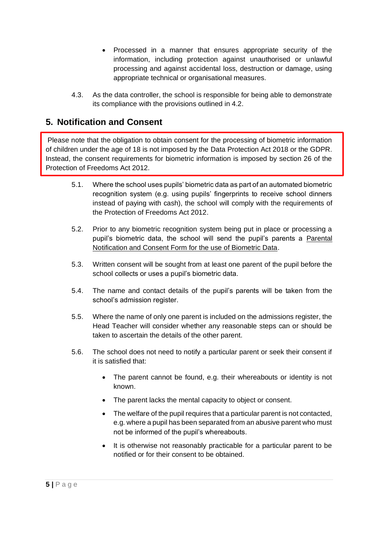- Processed in a manner that ensures appropriate security of the information, including protection against unauthorised or unlawful processing and against accidental loss, destruction or damage, using appropriate technical or organisational measures.
- 4.3. As the data controller, the school is responsible for being able to demonstrate its compliance with the provisions outlined in 4.2.

# **5. Notification and Consent**

Please note that the obligation to obtain consent for the processing of biometric information of children under the age of 18 is not imposed by the Data Protection Act 2018 or the GDPR. Instead, the consent requirements for biometric information is imposed by section 26 of the Protection of Freedoms Act 2012.

- 5.1. Where the school uses pupils' biometric data as part of an automated biometric recognition system (e.g. using pupils' fingerprints to receive school dinners instead of paying with cash), the school will comply with the requirements of the Protection of Freedoms Act 2012.
- 5.2. Prior to any biometric recognition system being put in place or processing a pupil's biometric data, the school will send the pupil's parents a Parental Notification and Consent Form for the use of Biometric Data.
- 5.3. Written consent will be sought from at least one parent of the pupil before the school collects or uses a pupil's biometric data.
- 5.4. The name and contact details of the pupil's parents will be taken from the school's admission register.
- 5.5. Where the name of only one parent is included on the admissions register, the Head Teacher will consider whether any reasonable steps can or should be taken to ascertain the details of the other parent.
- 5.6. The school does not need to notify a particular parent or seek their consent if it is satisfied that:
	- The parent cannot be found, e.g. their whereabouts or identity is not known.
	- The parent lacks the mental capacity to object or consent.
	- The welfare of the pupil requires that a particular parent is not contacted, e.g. where a pupil has been separated from an abusive parent who must not be informed of the pupil's whereabouts.
	- It is otherwise not reasonably practicable for a particular parent to be notified or for their consent to be obtained.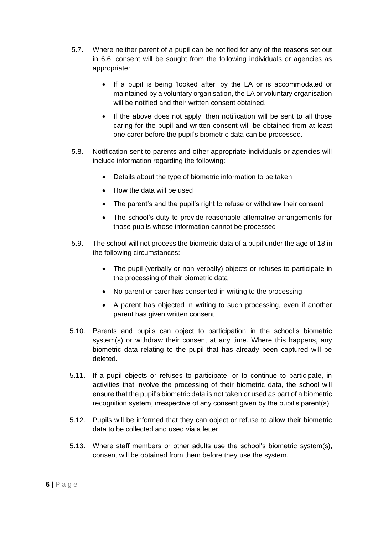- 5.7. Where neither parent of a pupil can be notified for any of the reasons set out in 6.6, consent will be sought from the following individuals or agencies as appropriate:
	- If a pupil is being 'looked after' by the LA or is accommodated or maintained by a voluntary organisation, the LA or voluntary organisation will be notified and their written consent obtained.
	- If the above does not apply, then notification will be sent to all those caring for the pupil and written consent will be obtained from at least one carer before the pupil's biometric data can be processed.
- 5.8. Notification sent to parents and other appropriate individuals or agencies will include information regarding the following:
	- Details about the type of biometric information to be taken
	- How the data will be used
	- The parent's and the pupil's right to refuse or withdraw their consent
	- The school's duty to provide reasonable alternative arrangements for those pupils whose information cannot be processed
- 5.9. The school will not process the biometric data of a pupil under the age of 18 in the following circumstances:
	- The pupil (verbally or non-verbally) objects or refuses to participate in the processing of their biometric data
	- No parent or carer has consented in writing to the processing
	- A parent has objected in writing to such processing, even if another parent has given written consent
- 5.10. Parents and pupils can object to participation in the school's biometric system(s) or withdraw their consent at any time. Where this happens, any biometric data relating to the pupil that has already been captured will be deleted.
- 5.11. If a pupil objects or refuses to participate, or to continue to participate, in activities that involve the processing of their biometric data, the school will ensure that the pupil's biometric data is not taken or used as part of a biometric recognition system, irrespective of any consent given by the pupil's parent(s).
- 5.12. Pupils will be informed that they can object or refuse to allow their biometric data to be collected and used via a letter.
- 5.13. Where staff members or other adults use the school's biometric system(s), consent will be obtained from them before they use the system.